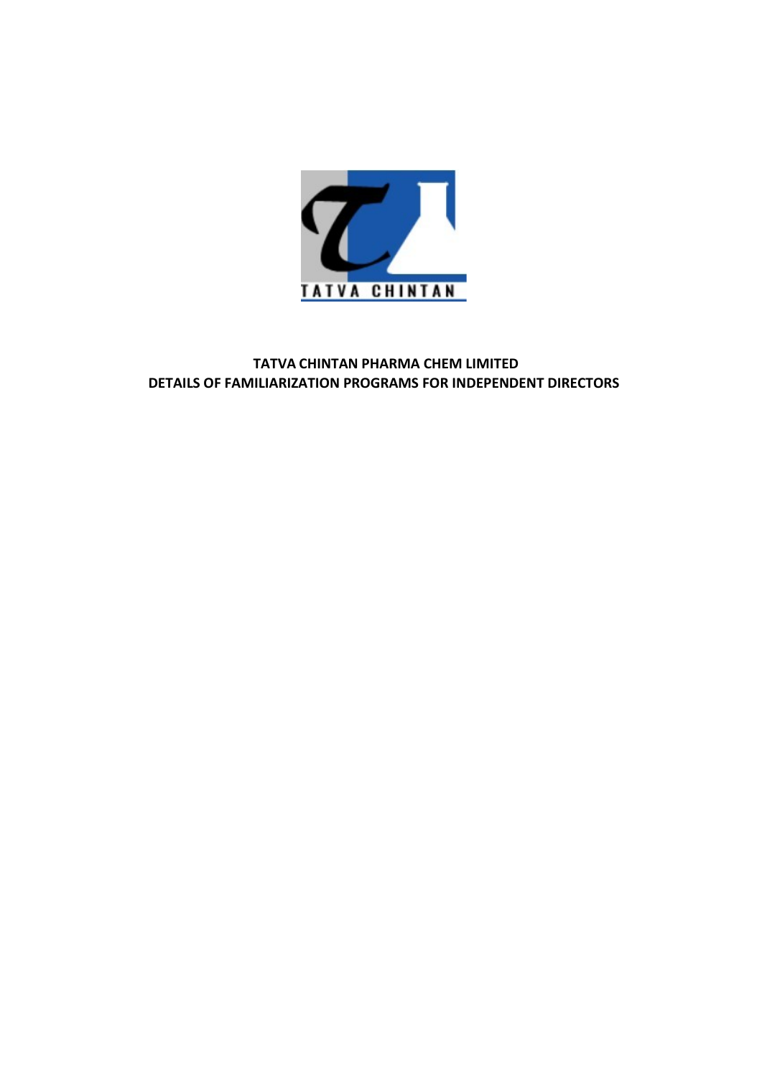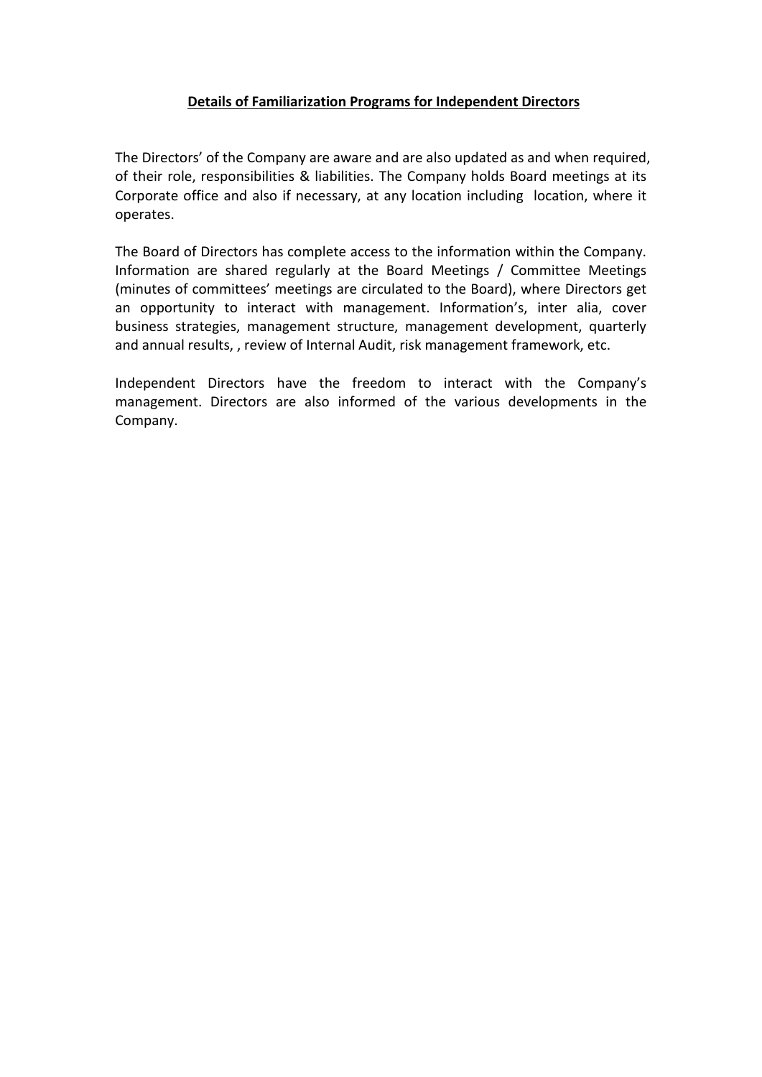**Details of Familiarization Programs for Independent Directors**<br>The State Company are aware and are also updated as and when required,<br>The proposibilities & liabilities. The Company holds Board meetings at its<br>office and a **Details of Familiarization Programs for Independent Directors**<br>The Directors' of the Company are aware and are also updated as and when required,<br>of their role, responsibilities & liabilities. The Company holds Board meet **Details of Familiarization Programs for Independent Directors**<br>
The Directors' of the Company are aware and are also updated as and when required,<br>
of their role, responsibilities & liabilities. The Company holds Board me **Details of Familiarization Programs for Independent Directors**<br>
The Directors' of the Company are aware and are also updated as and when required,<br>
of their role, responsibilities & liabilities. The Company holds Board me operates.

**Details of Familiarization Programs for Independent Directors**<br>The Directors' of the Company are aware and are also updated as and when required,<br>of their role, responsibilities & liabilities. The Company holds Board meet **Details of Familiarization Programs for Independent Directors**<br>The Directors' of the Company are aware and are also updated as and when required,<br>of their role, responsibilities & liabilities. The Company holds Board meet **Details of Familiarization Programs for Independent Directors**<br>
The Directors' of the Company are aware and are also updated as and when required,<br>
of their role, responsibilities & liabilities. The Company holds Board me **Details of Familiarization Programs for Independent Directors**<br>The Directors' of the Company are aware and are also updated as and when required,<br>of their role, responsibilities & liabilities. The Company holds Board meet **Details of Familiarization Programs for Independent Directors**<br>The Directors' of the Company are aware and are also updated as and when required,<br>of their role, responsibilities. & liabilities. The Company holds Board mee **Details of Familiarization Programs for Independent Directors**<br>The Directors' of the Company are aware and are also updated as and when required,<br>of their role, responsibilities & liabilities. The Company holds Board meet **Details of Familiarization Programs for Independent Directors**<br>The Directors' of the Company are aware and are also updated as and when required,<br>of their role, responsibilities & liabilities. The Company holds Board meet **Details of Familiarization Programs for Independent Directors**<br>The Directors' of the Company are aware and are also updated as and when required,<br>of their role, responsibilities & liabilities. The Company holds Board meet

Company.